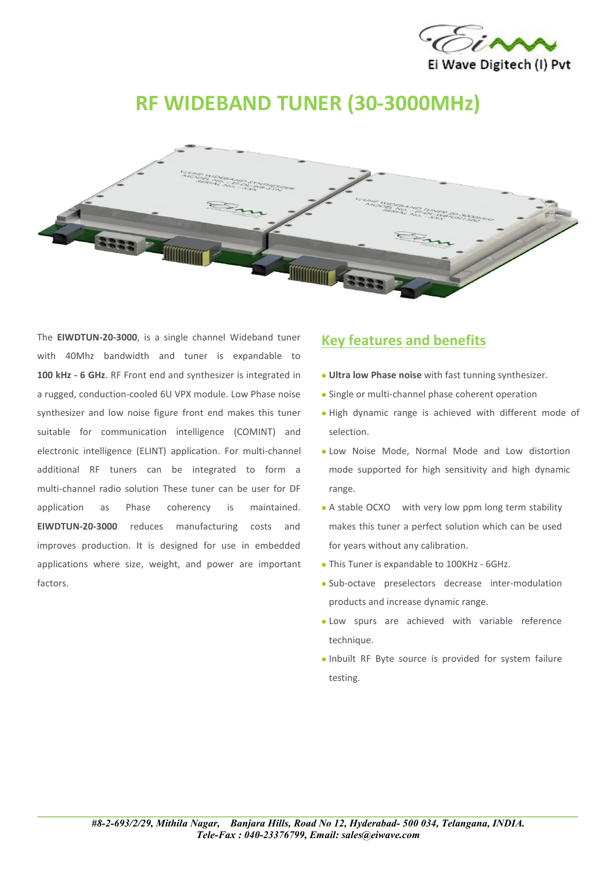

# **RF WIDEBAND TUNER (30-3000MHz)**



The **EIWDTUN-20-3000**, is a single channel Wideband tuner with 40Mhz bandwidth and tuner is expandable to **100 kHz - 6 GHz**. RF Front end and synthesizer is integrated in a rugged, conduction-cooled 6U VPX module. Low Phase noise synthesizer and low noise figure front end makes this tuner suitable for communication intelligence (COMINT) and electronic intelligence (ELINT) application. For multi-channel additional RF tuners can be integrated to form a multi-channel radio solution These tuner can be user for DF application as Phase coherency is maintained. **EIWDTUN-20-3000** reduces manufacturing costs and improves production. It is designed for use in embedded applications where size, weight, and power are important factors.

#### **Key features and benefits**

- **Ultra low Phase noise** with fast tunning synthesizer.
- Single or multi-channel phase coherent operation
- High dynamic range is achieved with different mode of selection.
- Low Noise Mode, Normal Mode and Low distortion mode supported for high sensitivity and high dynamic range.
- A stable OCXO with very low ppm long term stability makes this tuner a perfect solution which can be used for years without any calibration.
- This Tuner is expandable to 100KHz 6GHz.
- Sub-octave preselectors decrease inter-modulation products and increase dynamic range.
- Low spurs are achieved with variable reference technique.
- Inbuilt RF Byte source is provided for system failure testing.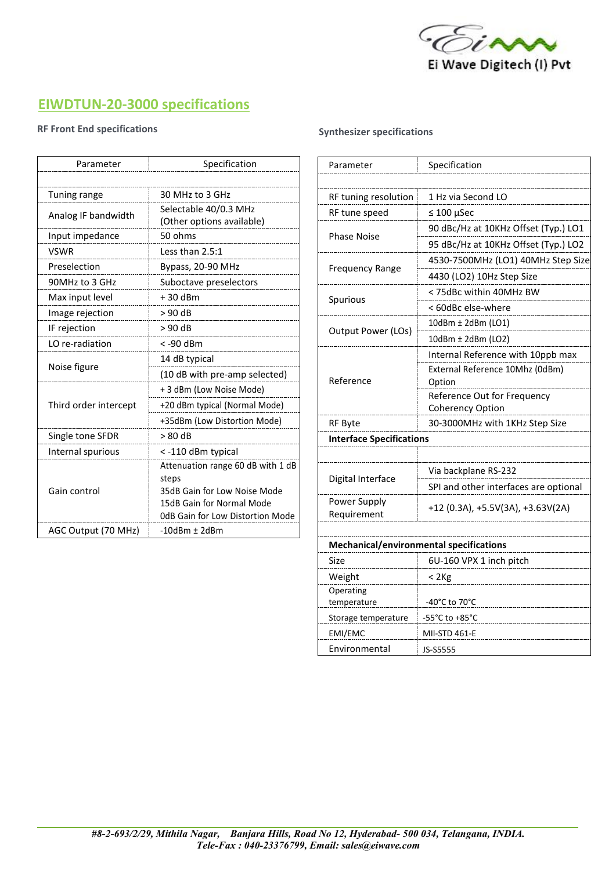

# **EIWDTUN-20-3000 specifications**

#### **RF Front End specifications**

| Parameter             | Specification                                                              | Parameter                   |
|-----------------------|----------------------------------------------------------------------------|-----------------------------|
|                       |                                                                            |                             |
| Tuning range          | 30 MHz to 3 GHz                                                            | RF tuning resoluti          |
| Analog IF bandwidth   | Selectable 40/0.3 MHz<br>(Other options available)                         | RF tune speed               |
| Input impedance       | 50 ohms                                                                    | <b>Phase Noise</b>          |
| <b>VSWR</b>           | Less than 2.5:1                                                            |                             |
| Preselection          | Bypass, 20-90 MHz                                                          | <b>Frequency Range</b>      |
| 90MHz to 3 GHz        | Suboctave preselectors                                                     |                             |
| Max input level       | $+30$ dBm                                                                  | Spurious                    |
| Image rejection       | > 90 dB                                                                    |                             |
| IF rejection          | $> 90$ dB                                                                  | Output Power (LC            |
| LO re-radiation       | <-90 dBm                                                                   |                             |
| Noise figure          | 14 dB typical                                                              | Reference                   |
|                       | (10 dB with pre-amp selected)                                              |                             |
| Third order intercept | + 3 dBm (Low Noise Mode)                                                   |                             |
|                       | +20 dBm typical (Normal Mode)                                              |                             |
|                       | +35dBm (Low Distortion Mode)                                               | <b>RF Byte</b>              |
| Single tone SFDR      | $> 80$ dB                                                                  | <b>Interface Specific</b>   |
| Internal spurious     | <- 110 dBm typical                                                         |                             |
| Gain control          | Attenuation range 60 dB with 1 dB<br>steps<br>35dB Gain for Low Noise Mode | Digital Interface           |
|                       | 15dB Gain for Normal Mode<br><b>0dB Gain for Low Distortion Mode</b>       | Power Supply<br>Requirement |
| AGC Output (70 MHz)   | $-10$ dBm $\pm$ 2dBm                                                       |                             |
|                       |                                                                            |                             |

#### **Synthesizer specifications**

| Parameter                       | Specification                                  |
|---------------------------------|------------------------------------------------|
|                                 |                                                |
| RF tuning resolution            | 1 Hz via Second LO                             |
| RF tune speed                   | $\leq 100$ µSec                                |
| <b>Phase Noise</b>              | 90 dBc/Hz at 10KHz Offset (Typ.) LO1           |
|                                 | 95 dBc/Hz at 10KHz Offset (Typ.) LO2           |
| <b>Frequency Range</b>          | 4530-7500MHz (LO1) 40MHz Step Size             |
|                                 | 4430 (LO2) 10Hz Step Size                      |
| Spurious                        | < 75dBc within 40MHz BW                        |
|                                 | < 60dBc else-where                             |
| Output Power (LOs)              | 10dBm ± 2dBm (LO1)                             |
|                                 | 10dBm ± 2dBm (LO2)                             |
| Reference                       | Internal Reference with 10ppb max              |
|                                 | External Reference 10Mhz (0dBm)<br>Option      |
|                                 | Reference Out for Frequency                    |
|                                 | <b>Coherency Option</b>                        |
| <b>RF Byte</b>                  | 30-3000MHz with 1KHz Step Size                 |
| <b>Interface Specifications</b> |                                                |
|                                 |                                                |
| Digital Interface               | Via backplane RS-232                           |
|                                 | SPI and other interfaces are optional          |
| Power Supply<br>Requirement     | +12 (0.3A), +5.5V(3A), +3.63V(2A)              |
|                                 |                                                |
|                                 | <b>Mechanical/environmental specifications</b> |
| Size                            | 6U-160 VPX 1 inch pitch                        |
| Weight                          | < 2Kg                                          |
| Operating<br>temperature        | -40°C to 70°C                                  |
| Storage temperature             | -55°C to +85°C                                 |
| EMI/EMC                         | MII-STD 461-E                                  |
| Environmental                   | JS-S5555                                       |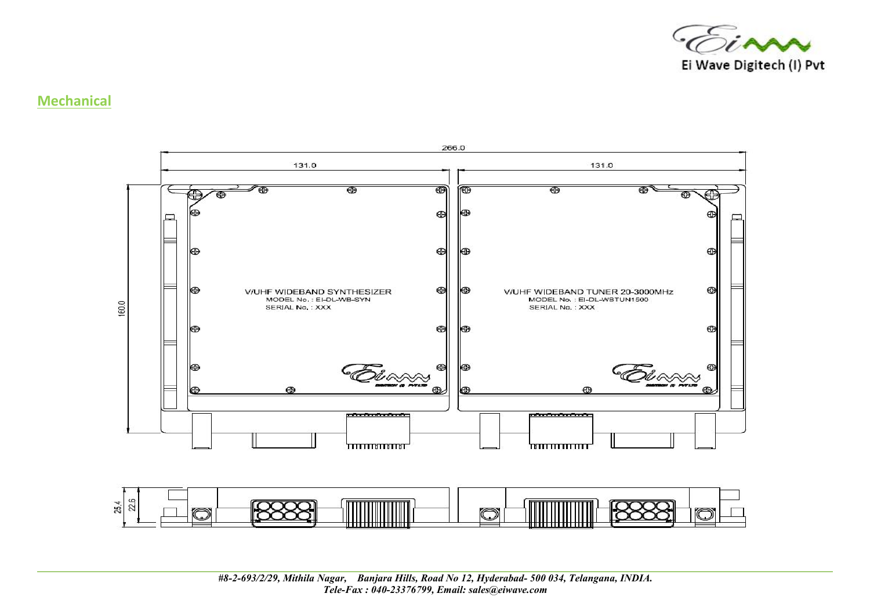

#### **Mechanical**

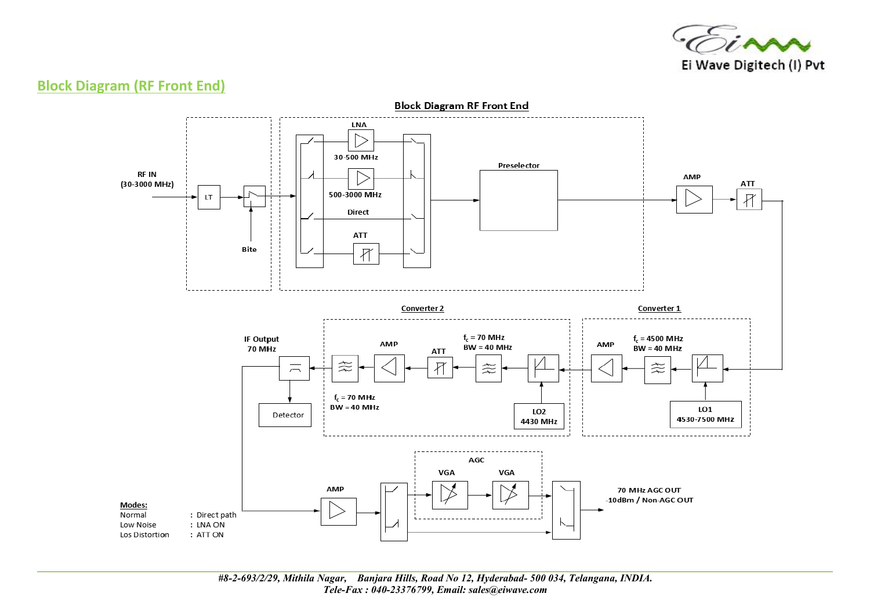

### **Block Diagram (RF Front End)**

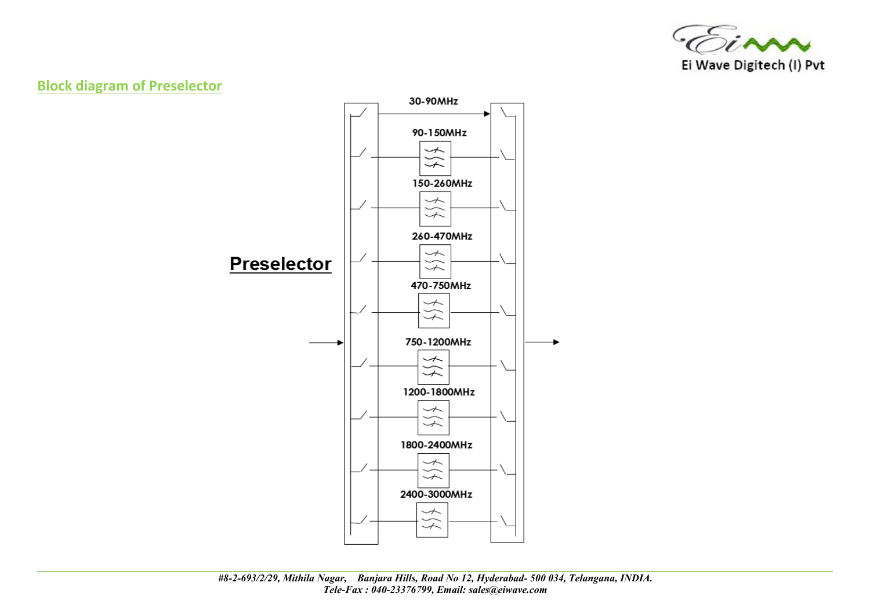

## **Block diagram of Preselector**